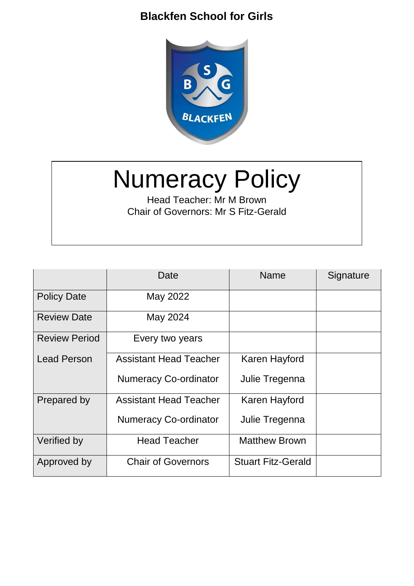

# Numeracy Policy

Head Teacher: Mr M Brown Chair of Governors: Mr S Fitz-Gerald

|                      | Date                          | Name                      | Signature |
|----------------------|-------------------------------|---------------------------|-----------|
| <b>Policy Date</b>   | May 2022                      |                           |           |
| <b>Review Date</b>   | May 2024                      |                           |           |
| <b>Review Period</b> | Every two years               |                           |           |
| <b>Lead Person</b>   | <b>Assistant Head Teacher</b> | Karen Hayford             |           |
|                      | <b>Numeracy Co-ordinator</b>  | Julie Tregenna            |           |
| Prepared by          | <b>Assistant Head Teacher</b> | Karen Hayford             |           |
|                      | <b>Numeracy Co-ordinator</b>  | Julie Tregenna            |           |
| Verified by          | <b>Head Teacher</b>           | <b>Matthew Brown</b>      |           |
| Approved by          | <b>Chair of Governors</b>     | <b>Stuart Fitz-Gerald</b> |           |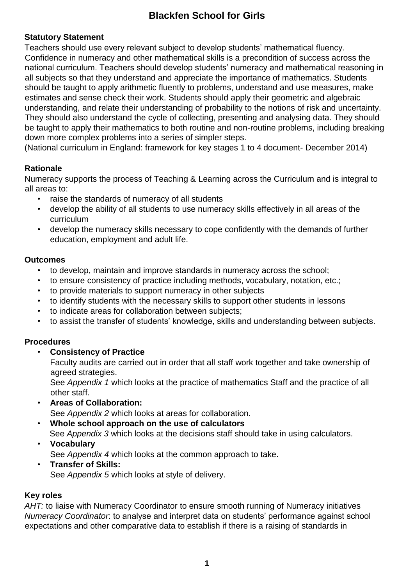#### **Statutory Statement**

Teachers should use every relevant subject to develop students' mathematical fluency. Confidence in numeracy and other mathematical skills is a precondition of success across the national curriculum. Teachers should develop students' numeracy and mathematical reasoning in all subjects so that they understand and appreciate the importance of mathematics. Students should be taught to apply arithmetic fluently to problems, understand and use measures, make estimates and sense check their work. Students should apply their geometric and algebraic understanding, and relate their understanding of probability to the notions of risk and uncertainty. They should also understand the cycle of collecting, presenting and analysing data. They should be taught to apply their mathematics to both routine and non-routine problems, including breaking down more complex problems into a series of simpler steps.

(National curriculum in England: framework for key stages 1 to 4 document- December 2014)

#### **Rationale**

Numeracy supports the process of Teaching & Learning across the Curriculum and is integral to all areas to:

- raise the standards of numeracy of all students
- develop the ability of all students to use numeracy skills effectively in all areas of the curriculum
- develop the numeracy skills necessary to cope confidently with the demands of further education, employment and adult life.

#### **Outcomes**

- to develop, maintain and improve standards in numeracy across the school;
- to ensure consistency of practice including methods, vocabulary, notation, etc.;
- to provide materials to support numeracy in other subjects
- to identify students with the necessary skills to support other students in lessons
- to indicate areas for collaboration between subjects;
- to assist the transfer of students' knowledge, skills and understanding between subjects.

#### **Procedures**

• **Consistency of Practice** 

Faculty audits are carried out in order that all staff work together and take ownership of agreed strategies.

See *Appendix 1* which looks at the practice of mathematics Staff and the practice of all other staff.

- **Areas of Collaboration:**  See *Appendix 2* which looks at areas for collaboration.
- **Whole school approach on the use of calculators**  See *Appendix 3* which looks at the decisions staff should take in using calculators.
- **Vocabulary**

See *Appendix 4* which looks at the common approach to take.

• **Transfer of Skills:**  See *Appendix 5* which looks at style of delivery.

#### **Key roles**

*AHT:* to liaise with Numeracy Coordinator to ensure smooth running of Numeracy initiatives *Numeracy Coordinator*: to analyse and interpret data on students' performance against school expectations and other comparative data to establish if there is a raising of standards in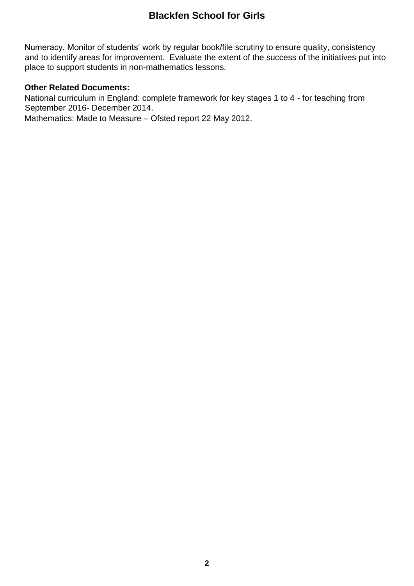Numeracy. Monitor of students' work by regular book/file scrutiny to ensure quality, consistency and to identify areas for improvement. Evaluate the extent of the success of the initiatives put into place to support students in non-mathematics lessons.

#### **Other Related Documents:**

National curriculum in England: complete framework for key stages 1 to 4 - for teaching from September 2016- December 2014.

Mathematics: Made to Measure – Ofsted report 22 May 2012.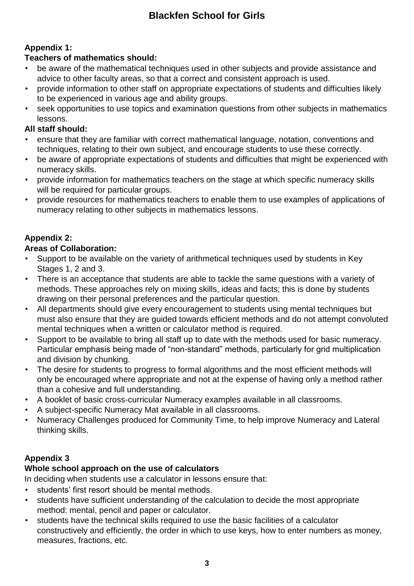## **Appendix 1:**

#### **Teachers of mathematics should:**

- be aware of the mathematical techniques used in other subjects and provide assistance and advice to other faculty areas, so that a correct and consistent approach is used.
- provide information to other staff on appropriate expectations of students and difficulties likely to be experienced in various age and ability groups.
- seek opportunities to use topics and examination questions from other subjects in mathematics lessons.

#### **All staff should:**

- ensure that they are familiar with correct mathematical language, notation, conventions and techniques, relating to their own subject, and encourage students to use these correctly.
- be aware of appropriate expectations of students and difficulties that might be experienced with numeracy skills.
- provide information for mathematics teachers on the stage at which specific numeracy skills will be required for particular groups.
- provide resources for mathematics teachers to enable them to use examples of applications of numeracy relating to other subjects in mathematics lessons.

## **Appendix 2:**

## **Areas of Collaboration:**

- Support to be available on the variety of arithmetical techniques used by students in Key Stages 1, 2 and 3.
- There is an acceptance that students are able to tackle the same questions with a variety of methods. These approaches rely on mixing skills, ideas and facts; this is done by students drawing on their personal preferences and the particular question.
- All departments should give every encouragement to students using mental techniques but must also ensure that they are guided towards efficient methods and do not attempt convoluted mental techniques when a written or calculator method is required.
- Support to be available to bring all staff up to date with the methods used for basic numeracy. Particular emphasis being made of "non-standard" methods, particularly for grid multiplication and division by chunking.
- The desire for students to progress to formal algorithms and the most efficient methods will only be encouraged where appropriate and not at the expense of having only a method rather than a cohesive and full understanding.
- A booklet of basic cross-curricular Numeracy examples available in all classrooms.
- A subject-specific Numeracy Mat available in all classrooms.
- Numeracy Challenges produced for Community Time, to help improve Numeracy and Lateral thinking skills.

## **Appendix 3**

#### **Whole school approach on the use of calculators**

In deciding when students use a calculator in lessons ensure that:

- students' first resort should be mental methods.
- students have sufficient understanding of the calculation to decide the most appropriate method: mental, pencil and paper or calculator.
- students have the technical skills required to use the basic facilities of a calculator constructively and efficiently, the order in which to use keys, how to enter numbers as money, measures, fractions, etc.